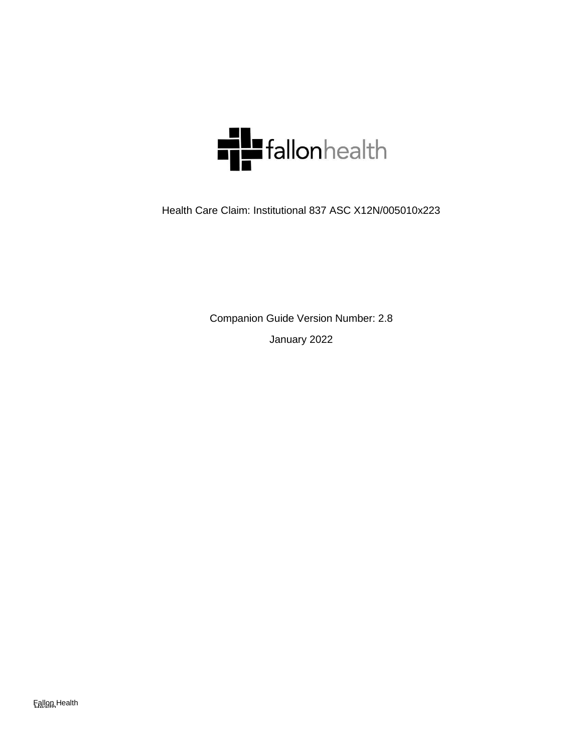

Health Care Claim: Institutional 837 ASC X12N/005010x223

Companion Guide Version Number: 2.8 January 2022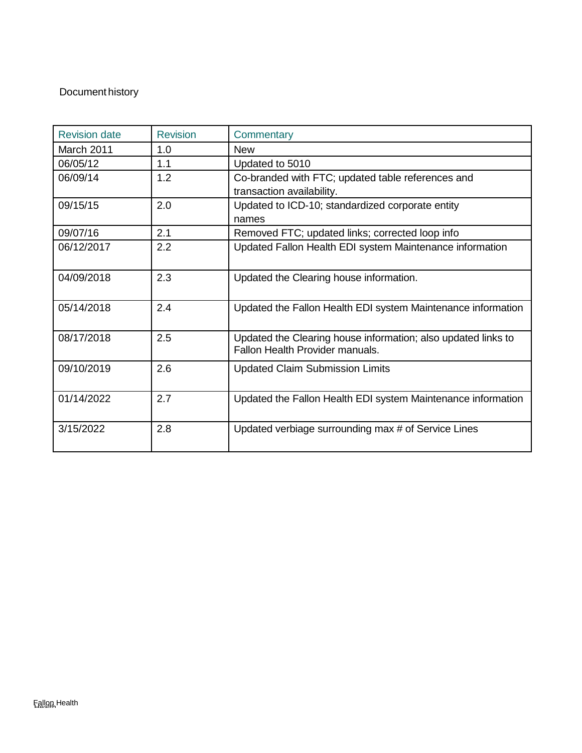## Document history

| <b>Revision date</b> | <b>Revision</b> | Commentary                                                                                       |
|----------------------|-----------------|--------------------------------------------------------------------------------------------------|
| March 2011           | 1.0             | <b>New</b>                                                                                       |
| 06/05/12             | 1.1             | Updated to 5010                                                                                  |
| 06/09/14             | 1.2             | Co-branded with FTC; updated table references and                                                |
|                      |                 | transaction availability.                                                                        |
| 09/15/15             | 2.0             | Updated to ICD-10; standardized corporate entity                                                 |
|                      |                 | names                                                                                            |
| 09/07/16             | 2.1             | Removed FTC; updated links; corrected loop info                                                  |
| 06/12/2017           | 2.2             | Updated Fallon Health EDI system Maintenance information                                         |
| 04/09/2018           | 2.3             | Updated the Clearing house information.                                                          |
| 05/14/2018           | 2.4             | Updated the Fallon Health EDI system Maintenance information                                     |
| 08/17/2018           | 2.5             | Updated the Clearing house information; also updated links to<br>Fallon Health Provider manuals. |
| 09/10/2019           | 2.6             | <b>Updated Claim Submission Limits</b>                                                           |
| 01/14/2022           | 2.7             | Updated the Fallon Health EDI system Maintenance information                                     |
| 3/15/2022            | 2.8             | Updated verbiage surrounding max # of Service Lines                                              |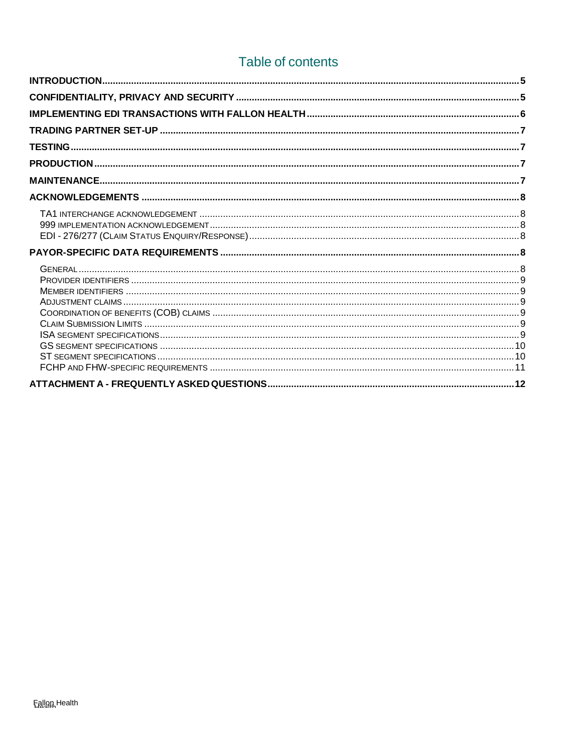# Table of contents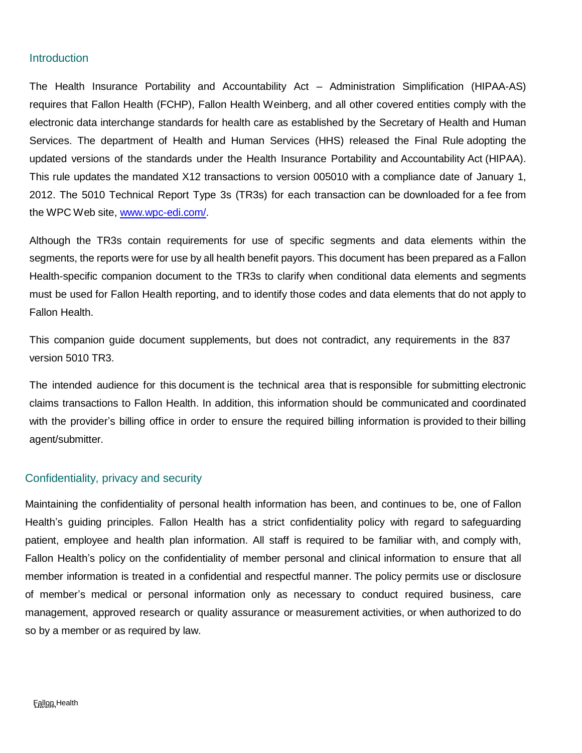## <span id="page-4-0"></span>**Introduction**

The Health Insurance Portability and Accountability Act – Administration Simplification (HIPAA-AS) requires that Fallon Health (FCHP), Fallon Health Weinberg, and all other covered entities comply with the electronic data interchange standards for health care as established by the Secretary of Health and Human Services. The department of Health and Human Services (HHS) released the Final Rule adopting the updated versions of the standards under the Health Insurance Portability and Accountability Act (HIPAA). This rule updates the mandated X12 transactions to version 005010 with a compliance date of January 1, 2012. The 5010 Technical Report Type 3s (TR3s) for each transaction can be downloaded for a fee from the WPC Web site, [www.wpc-edi.com/.](http://www.wpc-edi.com/)

Although the TR3s contain requirements for use of specific segments and data elements within the segments, the reports were for use by all health benefit payors. This document has been prepared as a Fallon Health-specific companion document to the TR3s to clarify when conditional data elements and segments must be used for Fallon Health reporting, and to identify those codes and data elements that do not apply to Fallon Health.

This companion guide document supplements, but does not contradict, any requirements in the 837 version 5010 TR3.

The intended audience for this document is the technical area that is responsible for submitting electronic claims transactions to Fallon Health. In addition, this information should be communicated and coordinated with the provider's billing office in order to ensure the required billing information is provided to their billing agent/submitter.

## <span id="page-4-1"></span>Confidentiality, privacy and security

Maintaining the confidentiality of personal health information has been, and continues to be, one of Fallon Health's guiding principles. Fallon Health has a strict confidentiality policy with regard to safeguarding patient, employee and health plan information. All staff is required to be familiar with, and comply with, Fallon Health's policy on the confidentiality of member personal and clinical information to ensure that all member information is treated in a confidential and respectful manner. The policy permits use or disclosure of member's medical or personal information only as necessary to conduct required business, care management, approved research or quality assurance or measurement activities, or when authorized to do so by a member or as required by law.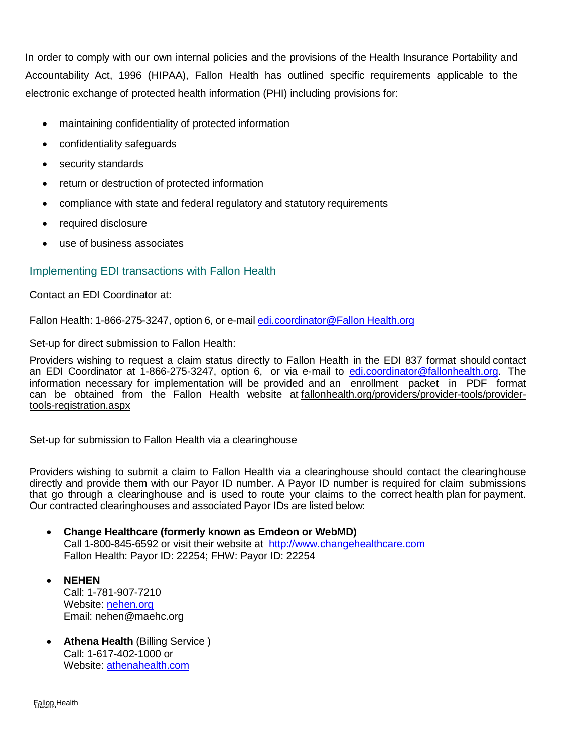In order to comply with our own internal policies and the provisions of the Health Insurance Portability and Accountability Act, 1996 (HIPAA), Fallon Health has outlined specific requirements applicable to the electronic exchange of protected health information (PHI) including provisions for:

- maintaining confidentiality of protected information
- confidentiality safeguards
- security standards
- return or destruction of protected information
- compliance with state and federal regulatory and statutory requirements
- required disclosure
- use of business associates

## <span id="page-5-0"></span>Implementing EDI transactions with Fallon Health

Contact an EDI Coordinator at:

Fallon Health: 1-866-275-3247, option 6, or e-mail [edi.coordinator@Fallon](mailto:edi.coordinator@fallonhealth.org) Health.org

Set-up for direct submission to Fallon Health:

Providers wishing to request a claim status directly to Fallon Health in the EDI 837 format should contact an EDI Coordinator at 1-866-275-3247, option 6, or via e-mail to [edi.coordinator@fallonhealth.org.](mailto:edi.coordinator@fallonhealth.org) The information necessary for implementation will be provided and an enrollment packet in PDF format can be obtained from the Fallon Health website at [fallonhealth.org/providers/provider-tools/provider](http://www.fchp.org/providers/provider-tools/provider-tools-registration.aspx)[tools-registration.aspx](http://www.fchp.org/providers/provider-tools/provider-tools-registration.aspx)

Set-up for submission to Fallon Health via a clearinghouse

Providers wishing to submit a claim to Fallon Health via a clearinghouse should contact the clearinghouse directly and provide them with our Payor ID number. A Payor ID number is required for claim submissions that go through a clearinghouse and is used to route your claims to the correct health plan for payment. Our contracted clearinghouses and associated Payor IDs are listed below:

- **Change Healthcare (formerly known as Emdeon or WebMD)** Call 1-800-845-6592 or visit their website at [http://www.changehealthcare.com](http://www.changehealthcare.com/) Fallon Health: Payor ID: 22254; FHW: Payor ID: 22254
- **NEHEN** Call: 1-781-907-7210 Website: [nehen.org](file://///emcprd01/group/EDI%20Data/5010%20&%20ICD10/EDI%20Companion%20Guides/Final/nehen.org) Email: [nehen@maehc.org](mailto:nehen@maehc.org)
- **Athena Health** (Billing Service ) Call: 1-617-402-1000 or Website: [athenahealth.com](file://///emcprd01/group/EDI%20Data/5010%20&%20ICD10/EDI%20Companion%20Guides/Final/athenahealth.com)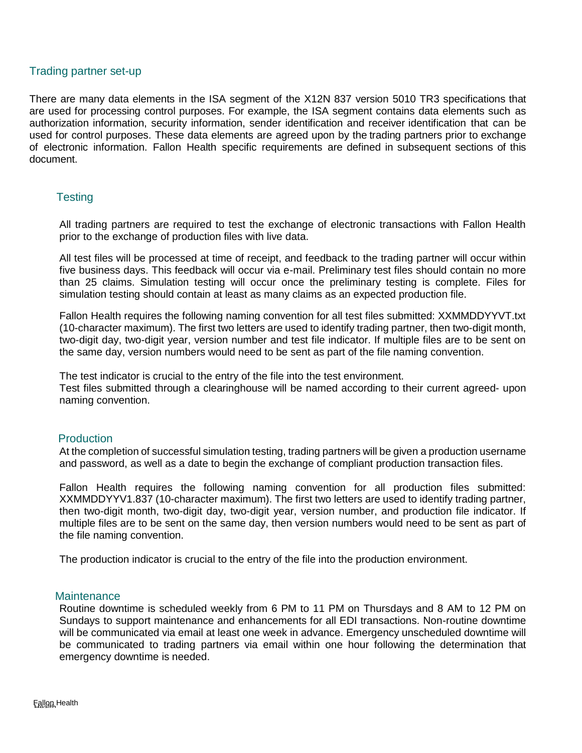## <span id="page-6-0"></span>Trading partner set-up

There are many data elements in the ISA segment of the X12N 837 version 5010 TR3 specifications that are used for processing control purposes. For example, the ISA segment contains data elements such as authorization information, security information, sender identification and receiver identification that can be used for control purposes. These data elements are agreed upon by the trading partners prior to exchange of electronic information. Fallon Health specific requirements are defined in subsequent sections of this document.

## <span id="page-6-1"></span>**Testing**

All trading partners are required to test the exchange of electronic transactions with Fallon Health prior to the exchange of production files with live data.

All test files will be processed at time of receipt, and feedback to the trading partner will occur within five business days. This feedback will occur via e-mail. Preliminary test files should contain no more than 25 claims. Simulation testing will occur once the preliminary testing is complete. Files for simulation testing should contain at least as many claims as an expected production file.

Fallon Health requires the following naming convention for all test files submitted: XXMMDDYYVT.txt (10-character maximum). The first two letters are used to identify trading partner, then two-digit month, two-digit day, two-digit year, version number and test file indicator. If multiple files are to be sent on the same day, version numbers would need to be sent as part of the file naming convention.

The test indicator is crucial to the entry of the file into the test environment. Test files submitted through a clearinghouse will be named according to their current agreed- upon naming convention.

## <span id="page-6-2"></span>**Production**

At the completion of successful simulation testing, trading partners will be given a production username and password, as well as a date to begin the exchange of compliant production transaction files.

Fallon Health requires the following naming convention for all production files submitted: XXMMDDYYV1.837 (10-character maximum). The first two letters are used to identify trading partner, then two-digit month, two-digit day, two-digit year, version number, and production file indicator. If multiple files are to be sent on the same day, then version numbers would need to be sent as part of the file naming convention.

The production indicator is crucial to the entry of the file into the production environment.

## <span id="page-6-3"></span>**Maintenance**

Routine downtime is scheduled weekly from 6 PM to 11 PM on Thursdays and 8 AM to 12 PM on Sundays to support maintenance and enhancements for all EDI transactions. Non-routine downtime will be communicated via email at least one week in advance. Emergency unscheduled downtime will be communicated to trading partners via email within one hour following the determination that emergency downtime is needed.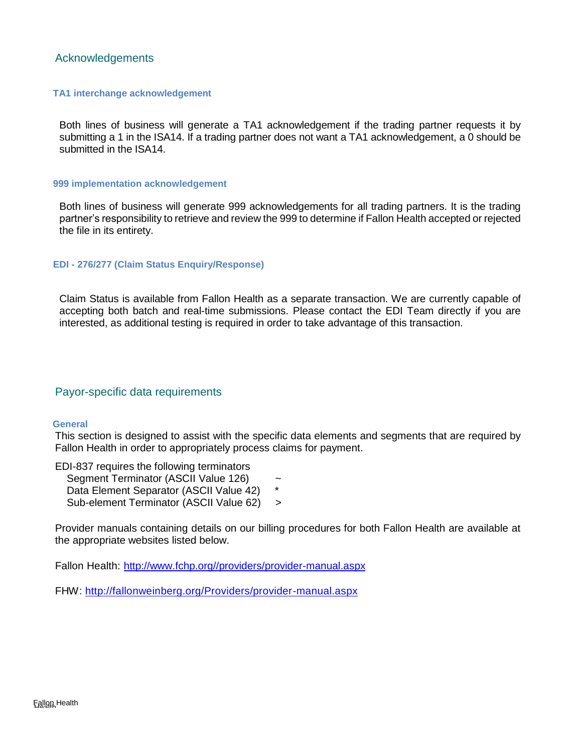## <span id="page-7-0"></span>Acknowledgements

#### <span id="page-7-1"></span> **TA1 interchange acknowledgement**

Both lines of business will generate a TA1 acknowledgement if the trading partner requests it by submitting a 1 in the ISA14. If a trading partner does not want a TA1 acknowledgement, a 0 should be submitted in the ISA14.

#### <span id="page-7-2"></span> **999 implementation acknowledgement**

Both lines of business will generate 999 acknowledgements for all trading partners. It is the trading partner's responsibility to retrieve and review the 999 to determine if Fallon Health accepted or rejected the file in its entirety.

#### <span id="page-7-3"></span> **EDI - 276/277 (Claim Status Enquiry/Response)**

Claim Status is available from Fallon Health as a separate transaction. We are currently capable of accepting both batch and real-time submissions. Please contact the EDI Team directly if you are interested, as additional testing is required in order to take advantage of this transaction.

## <span id="page-7-4"></span>Payor-specific data requirements

#### <span id="page-7-5"></span> **General**

This section is designed to assist with the specific data elements and segments that are required by Fallon Health in order to appropriately process claims for payment.

EDI-837 requires the following terminators Segment Terminator (ASCII Value 126) ~ Data Element Separator (ASCII Value 42) Sub-element Terminator (ASCII Value 62) >

Provider manuals containing details on our billing procedures for both Fallon Health are available at the appropriate websites listed below.

Fallon Health: [http://www.fchp.org//providers/provider-manual.aspx](http://www.fchp.org/providers/provider-manual.aspx)

FHW: <http://fallonweinberg.org/Providers/provider-manual.aspx>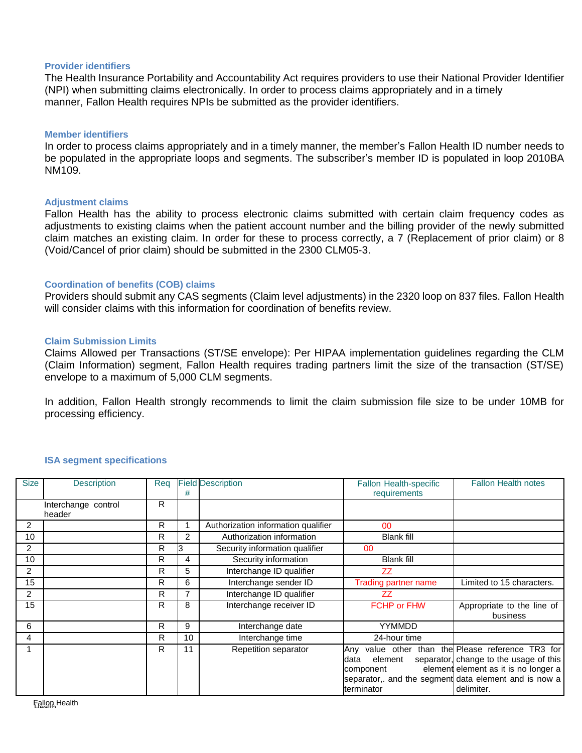#### <span id="page-8-0"></span>**Provider identifiers**

The Health Insurance Portability and Accountability Act requires providers to use their National Provider Identifier (NPI) when submitting claims electronically. In order to process claims appropriately and in a timely manner, Fallon Health requires NPIs be submitted as the provider identifiers.

#### <span id="page-8-1"></span>**Member identifiers**

In order to process claims appropriately and in a timely manner, the member's Fallon Health ID number needs to be populated in the appropriate loops and segments. The subscriber's member ID is populated in loop 2010BA NM109.

#### <span id="page-8-2"></span>**Adjustment claims**

Fallon Health has the ability to process electronic claims submitted with certain claim frequency codes as adjustments to existing claims when the patient account number and the billing provider of the newly submitted claim matches an existing claim. In order for these to process correctly, a 7 (Replacement of prior claim) or 8 (Void/Cancel of prior claim) should be submitted in the 2300 CLM05-3.

#### <span id="page-8-3"></span>**Coordination of benefits (COB) claims**

Providers should submit any CAS segments (Claim level adjustments) in the 2320 loop on 837 files. Fallon Health will consider claims with this information for coordination of benefits review.

#### <span id="page-8-4"></span>**Claim Submission Limits**

Claims Allowed per Transactions (ST/SE envelope): Per HIPAA implementation guidelines regarding the CLM (Claim Information) segment, Fallon Health requires trading partners limit the size of the transaction (ST/SE) envelope to a maximum of 5,000 CLM segments.

In addition, Fallon Health strongly recommends to limit the claim submission file size to be under 10MB for processing efficiency.

<span id="page-8-5"></span>

| <b>Size</b>    |                     | Reg |    |                                     | <b>Fallon Health notes</b>                           |                                               |
|----------------|---------------------|-----|----|-------------------------------------|------------------------------------------------------|-----------------------------------------------|
|                | <b>Description</b>  |     |    | <b>Field Description</b>            | <b>Fallon Health-specific</b>                        |                                               |
|                |                     |     | #  |                                     | requirements                                         |                                               |
|                | Interchange control | R   |    |                                     |                                                      |                                               |
|                | header              |     |    |                                     |                                                      |                                               |
| $\overline{2}$ |                     | R   |    | Authorization information qualifier | 00                                                   |                                               |
| 10             |                     | R   | 2  | Authorization information           | <b>Blank fill</b>                                    |                                               |
| $\overline{2}$ |                     | R   |    | Security information qualifier      | 00                                                   |                                               |
| 10             |                     | R   | 4  | Security information                | <b>Blank fill</b>                                    |                                               |
| $\overline{2}$ |                     | R   | 5  | Interchange ID qualifier            | <b>ZZ</b>                                            |                                               |
| 15             |                     | R   | 6  | Interchange sender ID               | <b>Trading partner name</b>                          | Limited to 15 characters.                     |
| 2              |                     | R   |    | Interchange ID qualifier            | ZZ                                                   |                                               |
| 15             |                     | R   | 8  | Interchange receiver ID             | <b>FCHP or FHW</b>                                   | Appropriate to the line of                    |
|                |                     |     |    |                                     |                                                      | business                                      |
| 6              |                     | R   | 9  | Interchange date                    | <b>YYMMDD</b>                                        |                                               |
| 4              |                     | R   | 10 | Interchange time                    | 24-hour time                                         |                                               |
|                |                     | R   | 11 | Repetition separator                | Any                                                  | value other than the Please reference TR3 for |
|                |                     |     |    |                                     | element<br>data                                      | separator, change to the usage of this        |
|                |                     |     |    |                                     | component                                            | element element as it is no longer a          |
|                |                     |     |    |                                     | separator, and the segment data element and is now a |                                               |
|                |                     |     |    |                                     | terminator                                           | delimiter.                                    |
|                |                     |     |    |                                     |                                                      |                                               |

#### **ISA segment specifications**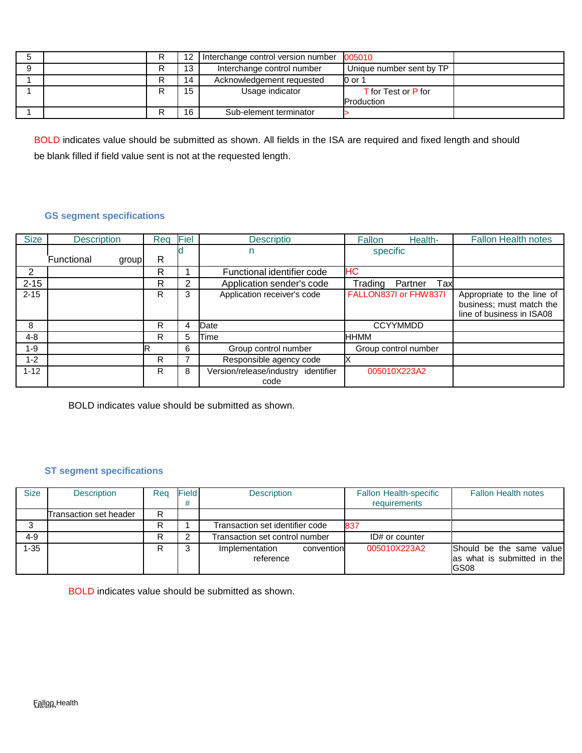|  |    | Interchange control version number | 005010                   |  |
|--|----|------------------------------------|--------------------------|--|
|  | 13 | Interchange control number         | Unique number sent by TP |  |
|  | 14 | Acknowledgement requested          | 0 or 1                   |  |
|  | 15 | Usage indicator                    | T for Test or P for      |  |
|  |    |                                    | Production               |  |
|  | 16 | Sub-element terminator             |                          |  |

BOLD indicates value should be submitted as shown. All fields in the ISA are required and fixed length and should be blank filled if field value sent is not at the requested length.

## <span id="page-9-0"></span>**GS segment specifications**

| <b>Size</b> | Reg<br><b>Description</b> |   | Fiel           | <b>Descriptio</b>                           | <b>Fallon</b><br>Health-  | <b>Fallon Health notes</b>                                                          |
|-------------|---------------------------|---|----------------|---------------------------------------------|---------------------------|-------------------------------------------------------------------------------------|
|             | Functional<br>group       | R | specific<br>n  |                                             |                           |                                                                                     |
| 2           |                           | R |                | Functional identifier code                  | HС                        |                                                                                     |
| $2 - 15$    |                           | R | $\overline{2}$ | Application sender's code                   | Tax<br>Partner<br>Trading |                                                                                     |
| $2 - 15$    | R                         |   | 3              | Application receiver's code                 | FALLON837I or FHW837I     | Appropriate to the line of<br>business; must match the<br>line of business in ISA08 |
| 8           | R                         |   | 4              | Date                                        | <b>CCYYMMDD</b>           |                                                                                     |
| $4 - 8$     | R.                        |   | 5              | Time                                        | <b>HHMM</b>               |                                                                                     |
| $1 - 9$     | R                         |   | 6              | Group control number                        | Group control number      |                                                                                     |
| $1 - 2$     | R                         |   |                | Responsible agency code                     |                           |                                                                                     |
| $1 - 12$    | R                         |   | 8              | Version/release/industry identifier<br>code | 005010X223A2              |                                                                                     |

BOLD indicates value should be submitted as shown.

## **ST segment specifications**

<span id="page-9-1"></span>

| <b>Size</b> | <b>Description</b>     | Rea | <b>Field</b> | <b>Description</b>                        | <b>Fallon Health-specific</b><br>requirements | <b>Fallon Health notes</b>                                       |
|-------------|------------------------|-----|--------------|-------------------------------------------|-----------------------------------------------|------------------------------------------------------------------|
|             | Transaction set header | R   |              |                                           |                                               |                                                                  |
|             |                        |     |              | Transaction set identifier code           | 837                                           |                                                                  |
| 4-9         |                        | R   |              | Transaction set control number            | ID# or counter                                |                                                                  |
| 1-35        |                        | R   |              | convention<br>Implementation<br>reference | 005010X223A2                                  | Should be the same value<br>las what is submitted in the<br>GS08 |

BOLD indicates value should be submitted as shown.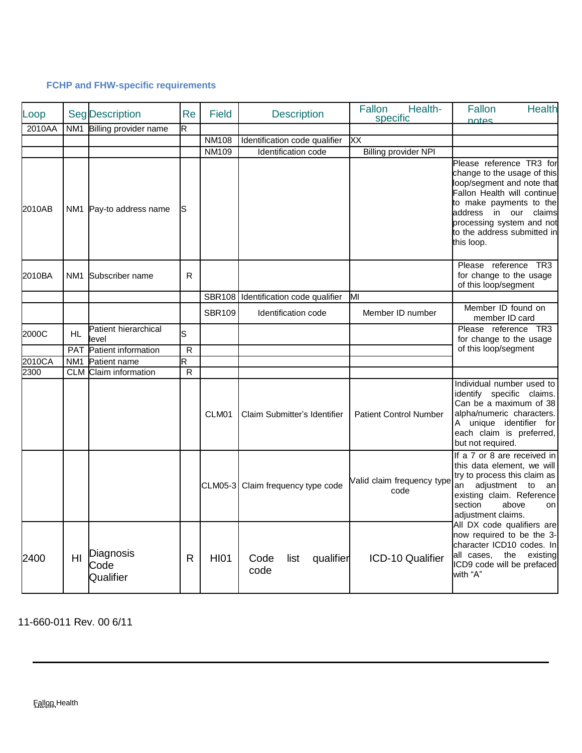## **FCHP and FHW-specific requirements**

<span id="page-10-0"></span>

| Loop   |                 | <b>Seg Description</b>         | Re           | <b>Field</b>  | <b>Description</b>                   | Fallon<br>Health-<br>specific      | Fallon<br><b>Health</b><br>notes                                                                                                                                                                                                                                                                                                                                       |
|--------|-----------------|--------------------------------|--------------|---------------|--------------------------------------|------------------------------------|------------------------------------------------------------------------------------------------------------------------------------------------------------------------------------------------------------------------------------------------------------------------------------------------------------------------------------------------------------------------|
| 2010AA | NM <sub>1</sub> | Billing provider name          | R            |               |                                      |                                    |                                                                                                                                                                                                                                                                                                                                                                        |
|        |                 |                                |              | <b>NM108</b>  | Identification code qualifier        | ХX                                 |                                                                                                                                                                                                                                                                                                                                                                        |
|        |                 |                                |              | <b>NM109</b>  | Identification code                  | <b>Billing provider NPI</b>        |                                                                                                                                                                                                                                                                                                                                                                        |
| 2010AB |                 | NM1 Pay-to address name        | S            |               |                                      |                                    | Please reference TR3 for<br>change to the usage of this<br>loop/segment and note that<br>Fallon Health will continue<br>to make payments to the<br>address in our claims<br>processing system and not<br>to the address submitted in<br>this loop.                                                                                                                     |
| 2010BA | NM1             | Subscriber name                | R.           |               |                                      |                                    | Please reference TR3<br>for change to the usage<br>of this loop/segment                                                                                                                                                                                                                                                                                                |
|        |                 |                                |              |               | SBR108 Identification code qualifier | ΜI                                 |                                                                                                                                                                                                                                                                                                                                                                        |
|        |                 |                                |              | <b>SBR109</b> | Identification code                  | Member ID number                   | Member ID found on<br>member ID card                                                                                                                                                                                                                                                                                                                                   |
| 2000C  | <b>HL</b>       | Patient hierarchical<br>level  | S            |               |                                      |                                    | Please reference TR3<br>for change to the usage                                                                                                                                                                                                                                                                                                                        |
|        |                 | PAT Patient information        | $\mathsf{R}$ |               |                                      |                                    | of this loop/segment                                                                                                                                                                                                                                                                                                                                                   |
| 2010CA | NM <sub>1</sub> | Patient name                   | R            |               |                                      |                                    |                                                                                                                                                                                                                                                                                                                                                                        |
| 2300   | <b>CLM</b>      | Claim information              | R            |               |                                      |                                    |                                                                                                                                                                                                                                                                                                                                                                        |
|        |                 |                                |              | CLM01         | Claim Submitter's Identifier         | <b>Patient Control Number</b>      | Individual number used to<br>identify specific claims.<br>Can be a maximum of 38<br>alpha/numeric characters.<br>A unique identifier for<br>each claim is preferred,<br>but not required.                                                                                                                                                                              |
|        |                 |                                |              |               | CLM05-3 Claim frequency type code    | Valid claim frequency type<br>code | If a 7 or 8 are received in<br>this data element, we will<br>try to process this claim as<br>adjustment to<br>an<br>an<br>existing claim. Reference<br>section<br>above<br>on<br>adjustment claims.<br>All DX code qualifiers are<br>now required to be the 3-<br>character ICD10 codes. In<br>the<br>all cases,<br>existing<br>ICD9 code will be prefaced<br>with "A" |
| 2400   | HI.             | Diagnosis<br>Code<br>Qualifier | R            | <b>HI01</b>   | Code<br>list<br>qualifier<br>code    | ICD-10 Qualifier                   |                                                                                                                                                                                                                                                                                                                                                                        |

11-660-011 Rev. 00 6/11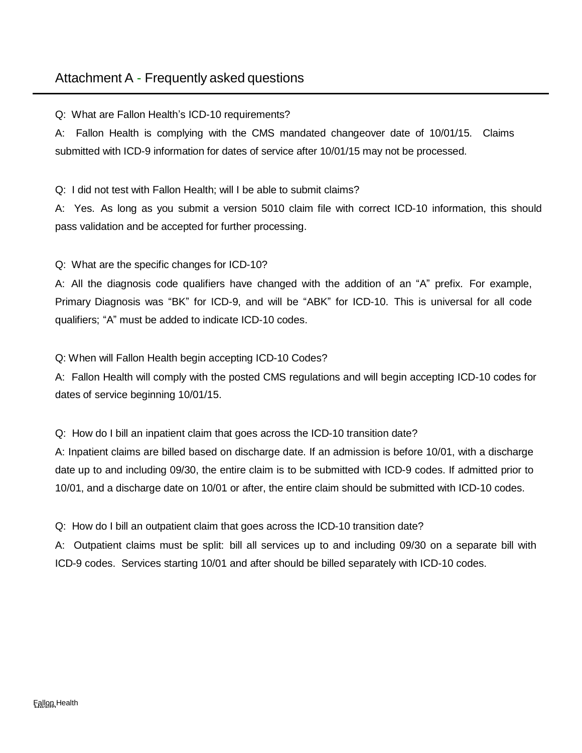# <span id="page-11-0"></span>Attachment A - Frequently asked questions

Q: What are Fallon Health's ICD-10 requirements?

A: Fallon Health is complying with the CMS mandated changeover date of 10/01/15. Claims submitted with ICD-9 information for dates of service after 10/01/15 may not be processed.

Q: I did not test with Fallon Health; will I be able to submit claims?

A: Yes. As long as you submit a version 5010 claim file with correct ICD-10 information, this should pass validation and be accepted for further processing.

Q: What are the specific changes for ICD-10?

A: All the diagnosis code qualifiers have changed with the addition of an "A" prefix. For example, Primary Diagnosis was "BK" for ICD-9, and will be "ABK" for ICD-10. This is universal for all code qualifiers; "A" must be added to indicate ICD-10 codes.

Q: When will Fallon Health begin accepting ICD-10 Codes?

A: Fallon Health will comply with the posted CMS regulations and will begin accepting ICD-10 codes for dates of service beginning 10/01/15.

Q: How do I bill an inpatient claim that goes across the ICD-10 transition date?

A: Inpatient claims are billed based on discharge date. If an admission is before 10/01, with a discharge date up to and including 09/30, the entire claim is to be submitted with ICD-9 codes. If admitted prior to 10/01, and a discharge date on 10/01 or after, the entire claim should be submitted with ICD-10 codes.

Q: How do I bill an outpatient claim that goes across the ICD-10 transition date?

A: Outpatient claims must be split: bill all services up to and including 09/30 on a separate bill with ICD-9 codes. Services starting 10/01 and after should be billed separately with ICD-10 codes.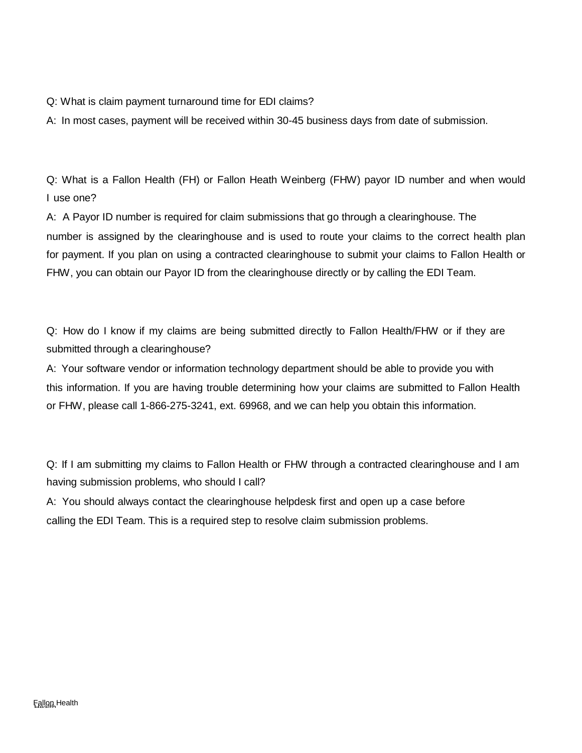Q: What is claim payment turnaround time for EDI claims?

A: In most cases, payment will be received within 30-45 business days from date of submission.

Q: What is a Fallon Health (FH) or Fallon Heath Weinberg (FHW) payor ID number and when would I use one?

A: A Payor ID number is required for claim submissions that go through a clearinghouse. The number is assigned by the clearinghouse and is used to route your claims to the correct health plan for payment. If you plan on using a contracted clearinghouse to submit your claims to Fallon Health or FHW, you can obtain our Payor ID from the clearinghouse directly or by calling the EDI Team.

Q: How do I know if my claims are being submitted directly to Fallon Health/FHW or if they are submitted through a clearinghouse?

A: Your software vendor or information technology department should be able to provide you with this information. If you are having trouble determining how your claims are submitted to Fallon Health or FHW, please call 1-866-275-3241, ext. 69968, and we can help you obtain this information.

Q: If I am submitting my claims to Fallon Health or FHW through a contracted clearinghouse and I am having submission problems, who should I call?

A: You should always contact the clearinghouse helpdesk first and open up a case before calling the EDI Team. This is a required step to resolve claim submission problems.